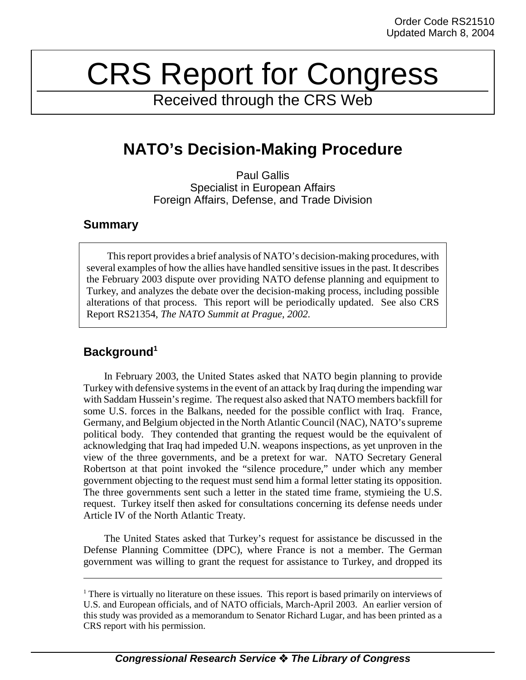# CRS Report for Congress

Received through the CRS Web

# **NATO's Decision-Making Procedure**

Paul Gallis Specialist in European Affairs Foreign Affairs, Defense, and Trade Division

## **Summary**

This report provides a brief analysis of NATO's decision-making procedures, with several examples of how the allies have handled sensitive issues in the past. It describes the February 2003 dispute over providing NATO defense planning and equipment to Turkey, and analyzes the debate over the decision-making process, including possible alterations of that process. This report will be periodically updated. See also CRS Report RS21354, *The NATO Summit at Prague, 2002.*

# **Background1**

In February 2003, the United States asked that NATO begin planning to provide Turkey with defensive systems in the event of an attack by Iraq during the impending war with Saddam Hussein's regime. The request also asked that NATO members backfill for some U.S. forces in the Balkans, needed for the possible conflict with Iraq. France, Germany, and Belgium objected in the North Atlantic Council (NAC), NATO's supreme political body. They contended that granting the request would be the equivalent of acknowledging that Iraq had impeded U.N. weapons inspections, as yet unproven in the view of the three governments, and be a pretext for war. NATO Secretary General Robertson at that point invoked the "silence procedure," under which any member government objecting to the request must send him a formal letter stating its opposition. The three governments sent such a letter in the stated time frame, stymieing the U.S. request. Turkey itself then asked for consultations concerning its defense needs under Article IV of the North Atlantic Treaty.

The United States asked that Turkey's request for assistance be discussed in the Defense Planning Committee (DPC), where France is not a member. The German government was willing to grant the request for assistance to Turkey, and dropped its

<sup>&</sup>lt;sup>1</sup> There is virtually no literature on these issues. This report is based primarily on interviews of U.S. and European officials, and of NATO officials, March-April 2003. An earlier version of this study was provided as a memorandum to Senator Richard Lugar, and has been printed as a CRS report with his permission.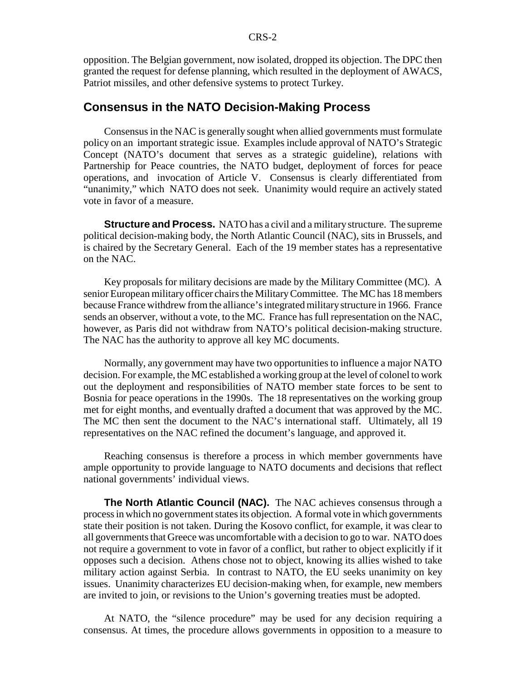opposition. The Belgian government, now isolated, dropped its objection. The DPC then granted the request for defense planning, which resulted in the deployment of AWACS, Patriot missiles, and other defensive systems to protect Turkey.

#### **Consensus in the NATO Decision-Making Process**

Consensus in the NAC is generally sought when allied governments must formulate policy on an important strategic issue. Examples include approval of NATO's Strategic Concept (NATO's document that serves as a strategic guideline), relations with Partnership for Peace countries, the NATO budget, deployment of forces for peace operations, and invocation of Article V. Consensus is clearly differentiated from "unanimity," which NATO does not seek. Unanimity would require an actively stated vote in favor of a measure.

**Structure and Process.** NATO has a civil and a military structure. The supreme political decision-making body, the North Atlantic Council (NAC), sits in Brussels, and is chaired by the Secretary General. Each of the 19 member states has a representative on the NAC.

Key proposals for military decisions are made by the Military Committee (MC). A senior European military officer chairs the Military Committee. The MC has 18 members because France withdrew from the alliance's integrated military structure in 1966. France sends an observer, without a vote, to the MC. France has full representation on the NAC, however, as Paris did not withdraw from NATO's political decision-making structure. The NAC has the authority to approve all key MC documents.

Normally, any government may have two opportunities to influence a major NATO decision. For example, the MC established a working group at the level of colonel to work out the deployment and responsibilities of NATO member state forces to be sent to Bosnia for peace operations in the 1990s. The 18 representatives on the working group met for eight months, and eventually drafted a document that was approved by the MC. The MC then sent the document to the NAC's international staff. Ultimately, all 19 representatives on the NAC refined the document's language, and approved it.

Reaching consensus is therefore a process in which member governments have ample opportunity to provide language to NATO documents and decisions that reflect national governments' individual views.

**The North Atlantic Council (NAC).** The NAC achieves consensus through a process in which no government states its objection. A formal vote in which governments state their position is not taken. During the Kosovo conflict, for example, it was clear to all governments that Greece was uncomfortable with a decision to go to war. NATO does not require a government to vote in favor of a conflict, but rather to object explicitly if it opposes such a decision. Athens chose not to object, knowing its allies wished to take military action against Serbia. In contrast to NATO, the EU seeks unanimity on key issues. Unanimity characterizes EU decision-making when, for example, new members are invited to join, or revisions to the Union's governing treaties must be adopted.

At NATO, the "silence procedure" may be used for any decision requiring a consensus. At times, the procedure allows governments in opposition to a measure to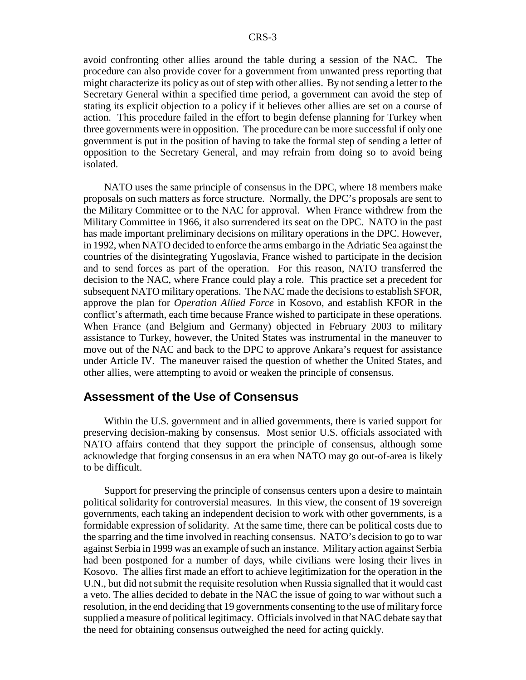avoid confronting other allies around the table during a session of the NAC. The procedure can also provide cover for a government from unwanted press reporting that might characterize its policy as out of step with other allies. By not sending a letter to the Secretary General within a specified time period, a government can avoid the step of stating its explicit objection to a policy if it believes other allies are set on a course of action. This procedure failed in the effort to begin defense planning for Turkey when three governments were in opposition. The procedure can be more successful if only one government is put in the position of having to take the formal step of sending a letter of opposition to the Secretary General, and may refrain from doing so to avoid being isolated.

NATO uses the same principle of consensus in the DPC, where 18 members make proposals on such matters as force structure. Normally, the DPC's proposals are sent to the Military Committee or to the NAC for approval. When France withdrew from the Military Committee in 1966, it also surrendered its seat on the DPC. NATO in the past has made important preliminary decisions on military operations in the DPC. However, in 1992, when NATO decided to enforce the arms embargo in the Adriatic Sea against the countries of the disintegrating Yugoslavia, France wished to participate in the decision and to send forces as part of the operation. For this reason, NATO transferred the decision to the NAC, where France could play a role. This practice set a precedent for subsequent NATO military operations. The NAC made the decisions to establish SFOR, approve the plan for *Operation Allied Force* in Kosovo, and establish KFOR in the conflict's aftermath, each time because France wished to participate in these operations. When France (and Belgium and Germany) objected in February 2003 to military assistance to Turkey, however, the United States was instrumental in the maneuver to move out of the NAC and back to the DPC to approve Ankara's request for assistance under Article IV. The maneuver raised the question of whether the United States, and other allies, were attempting to avoid or weaken the principle of consensus.

#### **Assessment of the Use of Consensus**

Within the U.S. government and in allied governments, there is varied support for preserving decision-making by consensus. Most senior U.S. officials associated with NATO affairs contend that they support the principle of consensus, although some acknowledge that forging consensus in an era when NATO may go out-of-area is likely to be difficult.

Support for preserving the principle of consensus centers upon a desire to maintain political solidarity for controversial measures. In this view, the consent of 19 sovereign governments, each taking an independent decision to work with other governments, is a formidable expression of solidarity. At the same time, there can be political costs due to the sparring and the time involved in reaching consensus. NATO's decision to go to war against Serbia in 1999 was an example of such an instance. Military action against Serbia had been postponed for a number of days, while civilians were losing their lives in Kosovo. The allies first made an effort to achieve legitimization for the operation in the U.N., but did not submit the requisite resolution when Russia signalled that it would cast a veto. The allies decided to debate in the NAC the issue of going to war without such a resolution, in the end deciding that 19 governments consenting to the use of military force supplied a measure of political legitimacy. Officials involved in that NAC debate say that the need for obtaining consensus outweighed the need for acting quickly.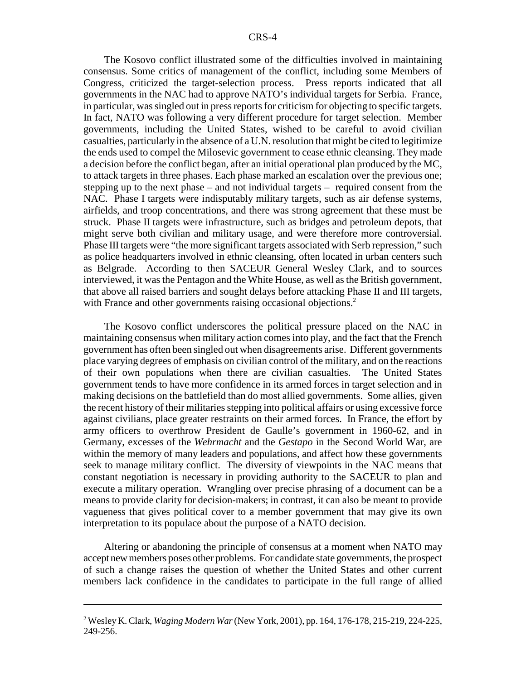The Kosovo conflict illustrated some of the difficulties involved in maintaining consensus. Some critics of management of the conflict, including some Members of Congress, criticized the target-selection process. Press reports indicated that all governments in the NAC had to approve NATO's individual targets for Serbia. France, in particular, was singled out in press reports for criticism for objecting to specific targets. In fact, NATO was following a very different procedure for target selection. Member governments, including the United States, wished to be careful to avoid civilian casualties, particularly in the absence of a U.N. resolution that might be cited to legitimize the ends used to compel the Milosevic government to cease ethnic cleansing. They made a decision before the conflict began, after an initial operational plan produced by the MC, to attack targets in three phases. Each phase marked an escalation over the previous one; stepping up to the next phase – and not individual targets – required consent from the NAC. Phase I targets were indisputably military targets, such as air defense systems, airfields, and troop concentrations, and there was strong agreement that these must be struck. Phase II targets were infrastructure, such as bridges and petroleum depots, that might serve both civilian and military usage, and were therefore more controversial. Phase III targets were "the more significant targets associated with Serb repression," such as police headquarters involved in ethnic cleansing, often located in urban centers such as Belgrade. According to then SACEUR General Wesley Clark, and to sources interviewed, it was the Pentagon and the White House, as well as the British government, that above all raised barriers and sought delays before attacking Phase II and III targets, with France and other governments raising occasional objections.<sup>2</sup>

The Kosovo conflict underscores the political pressure placed on the NAC in maintaining consensus when military action comes into play, and the fact that the French government has often been singled out when disagreements arise. Different governments place varying degrees of emphasis on civilian control of the military, and on the reactions of their own populations when there are civilian casualties. The United States government tends to have more confidence in its armed forces in target selection and in making decisions on the battlefield than do most allied governments. Some allies, given the recent history of their militaries stepping into political affairs or using excessive force against civilians, place greater restraints on their armed forces. In France, the effort by army officers to overthrow President de Gaulle's government in 1960-62, and in Germany, excesses of the *Wehrmacht* and the *Gestapo* in the Second World War, are within the memory of many leaders and populations, and affect how these governments seek to manage military conflict. The diversity of viewpoints in the NAC means that constant negotiation is necessary in providing authority to the SACEUR to plan and execute a military operation. Wrangling over precise phrasing of a document can be a means to provide clarity for decision-makers; in contrast, it can also be meant to provide vagueness that gives political cover to a member government that may give its own interpretation to its populace about the purpose of a NATO decision.

Altering or abandoning the principle of consensus at a moment when NATO may accept new members poses other problems. For candidate state governments, the prospect of such a change raises the question of whether the United States and other current members lack confidence in the candidates to participate in the full range of allied

<sup>2</sup> Wesley K. Clark, *Waging Modern War* (New York, 2001), pp. 164, 176-178, 215-219, 224-225, 249-256.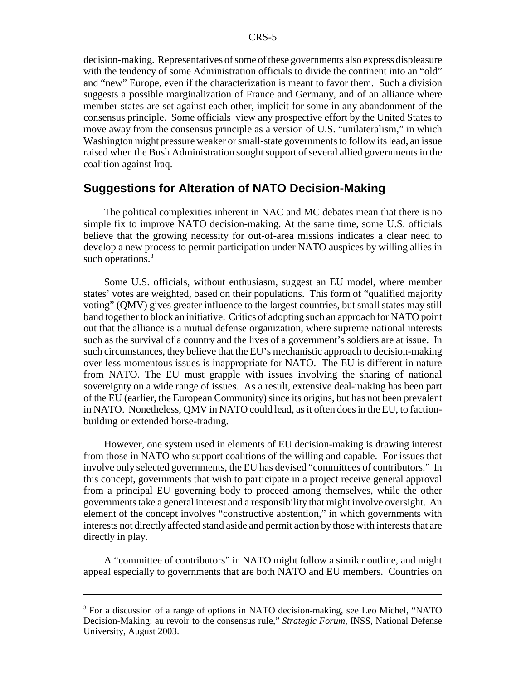decision-making. Representatives of some of these governments also express displeasure with the tendency of some Administration officials to divide the continent into an "old" and "new" Europe, even if the characterization is meant to favor them. Such a division suggests a possible marginalization of France and Germany, and of an alliance where member states are set against each other, implicit for some in any abandonment of the consensus principle. Some officials view any prospective effort by the United States to move away from the consensus principle as a version of U.S. "unilateralism," in which Washington might pressure weaker or small-state governments to follow its lead, an issue raised when the Bush Administration sought support of several allied governments in the coalition against Iraq.

### **Suggestions for Alteration of NATO Decision-Making**

The political complexities inherent in NAC and MC debates mean that there is no simple fix to improve NATO decision-making. At the same time, some U.S. officials believe that the growing necessity for out-of-area missions indicates a clear need to develop a new process to permit participation under NATO auspices by willing allies in such operations.<sup>3</sup>

Some U.S. officials, without enthusiasm, suggest an EU model, where member states' votes are weighted, based on their populations. This form of "qualified majority voting" (QMV) gives greater influence to the largest countries, but small states may still band together to block an initiative. Critics of adopting such an approach for NATO point out that the alliance is a mutual defense organization, where supreme national interests such as the survival of a country and the lives of a government's soldiers are at issue. In such circumstances, they believe that the EU's mechanistic approach to decision-making over less momentous issues is inappropriate for NATO. The EU is different in nature from NATO. The EU must grapple with issues involving the sharing of national sovereignty on a wide range of issues. As a result, extensive deal-making has been part of the EU (earlier, the European Community) since its origins, but has not been prevalent in NATO. Nonetheless, QMV in NATO could lead, as it often does in the EU, to factionbuilding or extended horse-trading.

However, one system used in elements of EU decision-making is drawing interest from those in NATO who support coalitions of the willing and capable. For issues that involve only selected governments, the EU has devised "committees of contributors." In this concept, governments that wish to participate in a project receive general approval from a principal EU governing body to proceed among themselves, while the other governments take a general interest and a responsibility that might involve oversight. An element of the concept involves "constructive abstention," in which governments with interests not directly affected stand aside and permit action by those with interests that are directly in play.

A "committee of contributors" in NATO might follow a similar outline, and might appeal especially to governments that are both NATO and EU members. Countries on

<sup>&</sup>lt;sup>3</sup> For a discussion of a range of options in NATO decision-making, see Leo Michel, "NATO Decision-Making: au revoir to the consensus rule," *Strategic Forum*, INSS, National Defense University, August 2003.